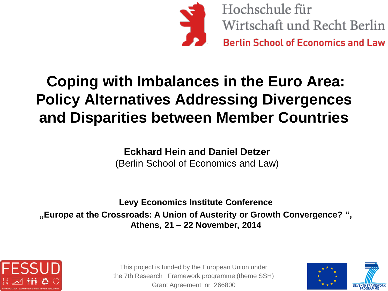

Hochschule für Wirtschaft und Recht Berlin **Berlin School of Economics and Law** 

## **Coping with Imbalances in the Euro Area: Policy Alternatives Addressing Divergences and Disparities between Member Countries**

**Eckhard Hein and Daniel Detzer** (Berlin School of Economics and Law)

**Levy Economics Institute Conference "Europe at the Crossroads: A Union of Austerity or Growth Convergence? ", Athens, 21 – 22 November, 2014** 



This project is funded by the European Union under the 7th Research Framework programme (theme SSH) Grant Agreement nr 266800

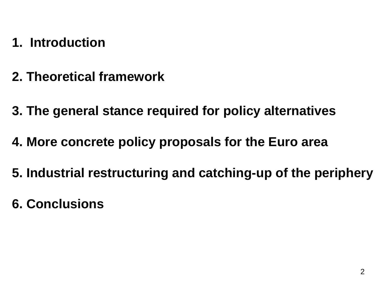- **1. Introduction**
- **2. Theoretical framework**
- **3. The general stance required for policy alternatives**
- **4. More concrete policy proposals for the Euro area**
- **5. Industrial restructuring and catching-up of the periphery**
- **6. Conclusions**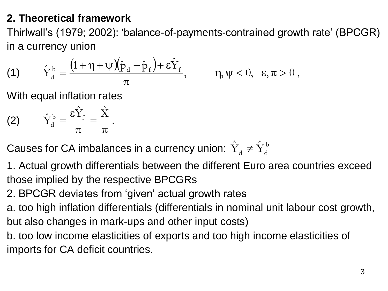#### **2. Theoretical framework**

Thirlwall's (1979; 2002): 'balance-of-payments-contrained growth rate' (BPCGR) in a currency union

(1) 
$$
\hat{Y}_d^b = \frac{\left(1 + \eta + \psi\right)\left(\hat{p}_d - \hat{p}_f\right) + \varepsilon \hat{Y}_f}{\pi}, \qquad \eta, \psi < 0, \varepsilon, \pi > 0,
$$

With equal inflation rates

$$
(2) \qquad \hat{Y}_d^b = \frac{\varepsilon \hat{Y}_f}{\pi} = \frac{\hat{X}}{\pi}.
$$

Causes for CA imbalances in a currency union:  $\hat{\mathrm{Y}}_{\scriptscriptstyle{d}} \neq \hat{\mathrm{Y}}_{\scriptscriptstyle{d}}^{\scriptscriptstyle{\mathrm{b}}}$  $\hat{Y}_d \neq \hat{Y}_d^t$ 

1. Actual growth differentials between the different Euro area countries exceed those implied by the respective BPCGRs

- 2. BPCGR deviates from 'given' actual growth rates
- a. too high inflation differentials (differentials in nominal unit labour cost growth, but also changes in mark-ups and other input costs)
- b. too low income elasticities of exports and too high income elasticities of imports for CA deficit countries.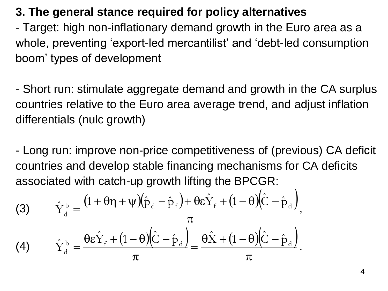#### **3. The general stance required for policy alternatives**

- Target: high non-inflationary demand growth in the Euro area as a whole, preventing 'export-led mercantilist' and 'debt-led consumption boom' types of development

- Short run: stimulate aggregate demand and growth in the CA surplus countries relative to the Euro area average trend, and adjust inflation differentials (nulc growth)

- Long run: improve non-price competitiveness of (previous) CA deficit countries and develop stable financing mechanisms for CA deficits associated with catch-up growth lifting the BPCGR:

(3) 
$$
\hat{Y}_d^b = \frac{\left(1 + \theta \eta + \psi\right)\left(\hat{p}_d - \hat{p}_f\right) + \theta \varepsilon \hat{Y}_f + \left(1 - \theta\right)\left(\hat{C} - \hat{p}_d\right)}{\pi},
$$
  
(4) 
$$
\hat{Y}_d^b = \frac{\theta \varepsilon \hat{Y}_f + \left(1 - \theta\right)\left(\hat{C} - \hat{p}_d\right)}{\pi} = \frac{\theta \hat{X} + \left(1 - \theta\right)\left(\hat{C} - \hat{p}_d\right)}{\pi}.
$$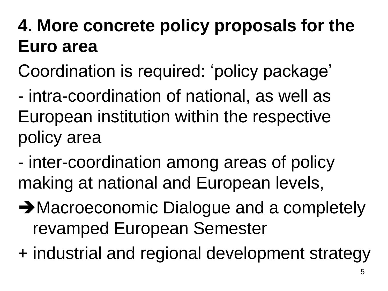# **4. More concrete policy proposals for the Euro area**

- Coordination is required: 'policy package'
- intra-coordination of national, as well as European institution within the respective policy area
- inter-coordination among areas of policy making at national and European levels,
- **→ Macroeconomic Dialogue and a completely** revamped European Semester
- + industrial and regional development strategy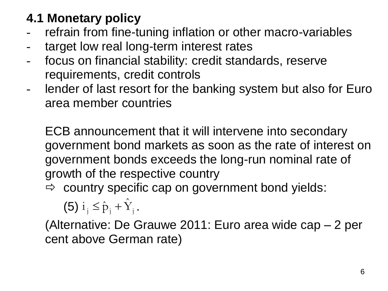## **4.1 Monetary policy**

- refrain from fine-tuning inflation or other macro-variables
- target low real long-term interest rates
- focus on financial stability: credit standards, reserve requirements, credit controls
- lender of last resort for the banking system but also for Euro area member countries

ECB announcement that it will intervene into secondary government bond markets as soon as the rate of interest on government bonds exceeds the long-run nominal rate of growth of the respective country

 $\Rightarrow$  country specific cap on government bond yields:

(5)  $i_j \leq \hat{p}_j + \hat{Y}_j$ .

(Alternative: De Grauwe 2011: Euro area wide cap – 2 per (Alternative: De Grauwe 2)<br>cent above German rate)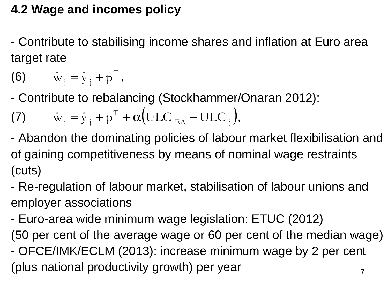### **4.2 Wage and incomes policy**

- Contribute to stabilising income shares and inflation at Euro area target rate

$$
(6) \qquad \hat{\mathbf{w}}_{j} = \hat{\mathbf{y}}_{j} + \mathbf{p}^{\mathrm{T}},
$$

- Contribute to rebalancing (Stockhammer/Onaran 2012):

(7) 
$$
\hat{\mathbf{w}}_j = \hat{\mathbf{y}}_j + \mathbf{p}^{\mathrm{T}} + \alpha (\text{ULC}_{EA} - \text{ULC}_{j}),
$$

- Abandon the dominating policies of labour market flexibilisation and of gaining competitiveness by means of nominal wage restraints (cuts)

- Re-regulation of labour market, stabilisation of labour unions and employer associations

- Euro-area wide minimum wage legislation: ETUC (2012)

7 (50 per cent of the average wage or 60 per cent of the median wage) - OFCE/IMK/ECLM (2013): increase minimum wage by 2 per cent (plus national productivity growth) per year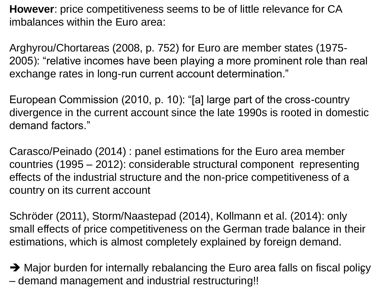**However**: price competitiveness seems to be of little relevance for CA imbalances within the Euro area:

Arghyrou/Chortareas (2008, p. 752) for Euro are member states (1975- 2005): "relative incomes have been playing a more prominent role than real exchange rates in long-run current account determination."

European Commission (2010, p. 10): "[a] large part of the cross-country divergence in the current account since the late 1990s is rooted in domestic demand factors."

Carasco/Peinado (2014) : panel estimations for the Euro area member countries (1995 – 2012): considerable structural component representing effects of the industrial structure and the non-price competitiveness of a country on its current account

Schröder (2011), Storm/Naastepad (2014), Kollmann et al. (2014): only small effects of price competitiveness on the German trade balance in their estimations, which is almost completely explained by foreign demand.

→ Major burden for internally rebalancing the Euro area falls on fiscal poligy – demand management and industrial restructuring!!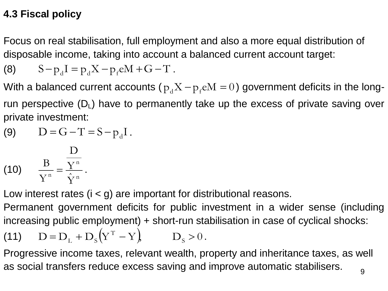#### **4.3 Fiscal policy**

Focus on real stabilisation, full employment and also a more equal distribution of disposable income, taking into account a balanced current account target:

(8) 
$$
S-p_d I = p_d X - p_f e M + G - T
$$
.

With a balanced current accounts (  $\rm p_d X\!-\!p_f e M = 0$  ) government deficits in the longrun perspective  $(D_L)$  have to permanently take up the excess of private saving over private investment:

(9) 
$$
D = G - T = S - p_d I
$$
.

$$
(10) \qquad \frac{\text{B}}{\text{Y}^{\text{n}}} = \frac{\text{Y}^{\text{n}}}{\hat{\text{Y}}^{\text{n}}}.
$$

Low interest rates (i < g) are important for distributional reasons.

Permanent government deficits for public investment in a wider sense (including increasing public employment) + short-run stabilisation in case of cyclical shocks:

(11) 
$$
D = D_L + D_S(Y^T - Y)
$$
  $D_S > 0$ .

Progressive income taxes, relevant wealth, property and inheritance taxes, as well as social transfers reduce excess saving and improve automatic stabilisers.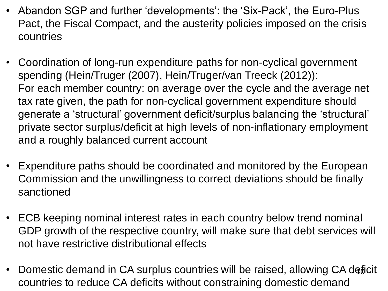- Abandon SGP and further 'developments': the 'Six-Pack', the Euro-Plus Pact, the Fiscal Compact, and the austerity policies imposed on the crisis countries
- Coordination of long-run expenditure paths for non-cyclical government spending (Hein/Truger (2007), Hein/Truger/van Treeck (2012)): For each member country: on average over the cycle and the average net tax rate given, the path for non-cyclical government expenditure should generate a 'structural' government deficit/surplus balancing the 'structural' private sector surplus/deficit at high levels of non-inflationary employment and a roughly balanced current account
- Expenditure paths should be coordinated and monitored by the European Commission and the unwillingness to correct deviations should be finally sanctioned
- ECB keeping nominal interest rates in each country below trend nominal GDP growth of the respective country, will make sure that debt services will not have restrictive distributional effects
- Domestic demand in CA surplus countries will be raised, allowing CA deficit countries to reduce CA deficits without constraining domestic demand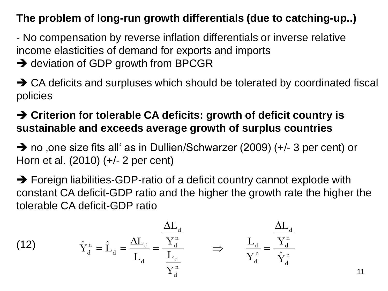#### **The problem of long-run growth differentials (due to catching-up..)**

- No compensation by reverse inflation differentials or inverse relative income elasticities of demand for exports and imports

- **→** deviation of GDP growth from BPCGR
- $\rightarrow$  CA deficits and surpluses which should be tolerated by coordinated fiscal policies

#### **Criterion for tolerable CA deficits: growth of deficit country is sustainable and exceeds average growth of surplus countries**

→ no , one size fits all as in Dullien/Schwarzer (2009) (+/- 3 per cent) or Horn et al. (2010) (+/- 2 per cent)

 $\rightarrow$  Foreign liabilities-GDP-ratio of a deficit country cannot explode with constant CA deficit-GDP ratio and the higher the growth rate the higher the tolerable CA deficit-GDP ratio

(12) 
$$
\hat{Y}_d^n = \hat{L}_d = \frac{\Delta L_d}{L_d} = \frac{\frac{\Delta L_d}{L_d}}{\frac{L_d}{Y_d^n}} \Rightarrow \frac{L_d}{Y_d^n} = \frac{\frac{\Delta L_d}{Y_d^n}}{\hat{Y}_d^n}
$$

11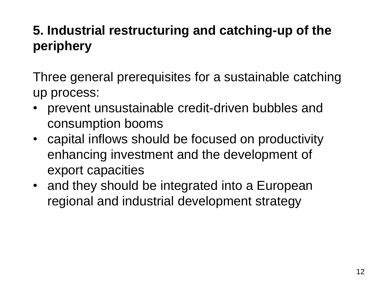## **5. Industrial restructuring and catching-up of the periphery**

Three general prerequisites for a sustainable catching up process:

- prevent unsustainable credit-driven bubbles and consumption booms
- capital inflows should be focused on productivity enhancing investment and the development of export capacities
- and they should be integrated into a European regional and industrial development strategy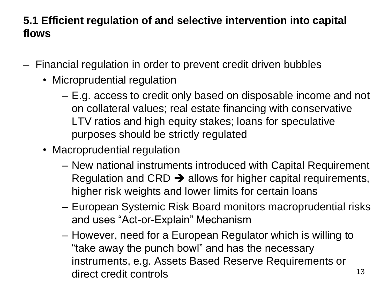#### **5.1 Efficient regulation of and selective intervention into capital flows**

- Financial regulation in order to prevent credit driven bubbles
	- Microprudential regulation
		- E.g. access to credit only based on disposable income and not on collateral values; real estate financing with conservative LTV ratios and high equity stakes; loans for speculative purposes should be strictly regulated
	- Macroprudential regulation
		- New national instruments introduced with Capital Requirement Regulation and CRD  $\rightarrow$  allows for higher capital requirements, higher risk weights and lower limits for certain loans
		- European Systemic Risk Board monitors macroprudential risks and uses "Act-or-Explain" Mechanism
		- However, need for a European Regulator which is willing to "take away the punch bowl" and has the necessary instruments, e.g. Assets Based Reserve Requirements or direct credit controls and the state of the state of  $\frac{13}{13}$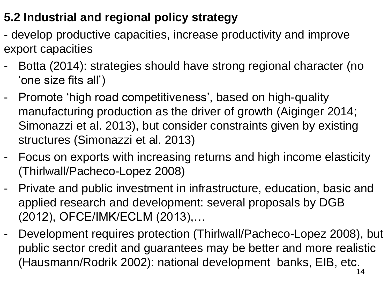### **5.2 Industrial and regional policy strategy**

- develop productive capacities, increase productivity and improve export capacities
- Botta (2014): strategies should have strong regional character (no 'one size fits all')
- Promote 'high road competitiveness', based on high-quality manufacturing production as the driver of growth (Aiginger 2014; Simonazzi et al. 2013), but consider constraints given by existing structures (Simonazzi et al. 2013)
- Focus on exports with increasing returns and high income elasticity (Thirlwall/Pacheco-Lopez 2008)
- Private and public investment in infrastructure, education, basic and applied research and development: several proposals by DGB (2012), OFCE/IMK/ECLM (2013),…
- 14 - Development requires protection (Thirlwall/Pacheco-Lopez 2008), but public sector credit and guarantees may be better and more realistic (Hausmann/Rodrik 2002): national development banks, EIB, etc.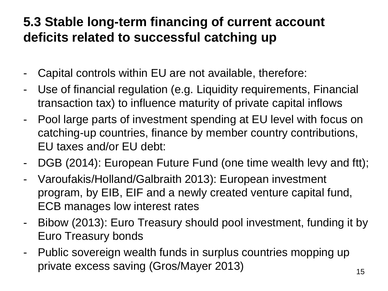### **5.3 Stable long-term financing of current account deficits related to successful catching up**

- Capital controls within EU are not available, therefore:
- Use of financial regulation (e.g. Liquidity requirements, Financial transaction tax) to influence maturity of private capital inflows
- Pool large parts of investment spending at EU level with focus on catching-up countries, finance by member country contributions, EU taxes and/or EU debt:
- DGB (2014): European Future Fund (one time wealth levy and ftt);
- Varoufakis/Holland/Galbraith 2013): European investment program, by EIB, EIF and a newly created venture capital fund, ECB manages low interest rates
- Bibow (2013): Euro Treasury should pool investment, funding it by Euro Treasury bonds
- Public sovereign wealth funds in surplus countries mopping up private excess saving (Gros/Mayer 2013) 15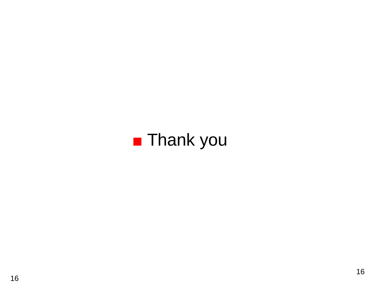# ■ Thank you